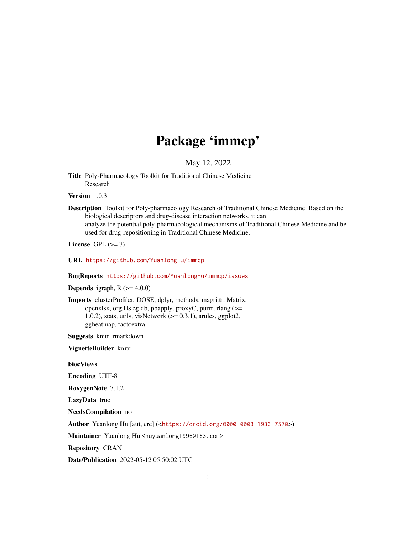# Package 'immcp'

May 12, 2022

Title Poly-Pharmacology Toolkit for Traditional Chinese Medicine Research

Version 1.0.3

Description Toolkit for Poly-pharmacology Research of Traditional Chinese Medicine. Based on the biological descriptors and drug-disease interaction networks, it can analyze the potential poly-pharmacological mechanisms of Traditional Chinese Medicine and be used for drug-repositioning in Traditional Chinese Medicine.

License GPL  $(>= 3)$ 

URL <https://github.com/YuanlongHu/immcp>

BugReports <https://github.com/YuanlongHu/immcp/issues>

**Depends** igraph,  $R$  ( $>= 4.0.0$ )

Imports clusterProfiler, DOSE, dplyr, methods, magrittr, Matrix, openxlsx, org.Hs.eg.db, pbapply, proxyC, purrr, rlang (>= 1.0.2), stats, utils, visNetwork  $(>= 0.3.1)$ , arules, ggplot2, ggheatmap, factoextra

Suggests knitr, rmarkdown

VignetteBuilder knitr

biocViews

Encoding UTF-8

RoxygenNote 7.1.2

LazyData true

NeedsCompilation no

Author Yuanlong Hu [aut, cre] (<<https://orcid.org/0000-0003-1933-7570>>)

Maintainer Yuanlong Hu <huyuanlong1996@163.com>

Repository CRAN

Date/Publication 2022-05-12 05:50:02 UTC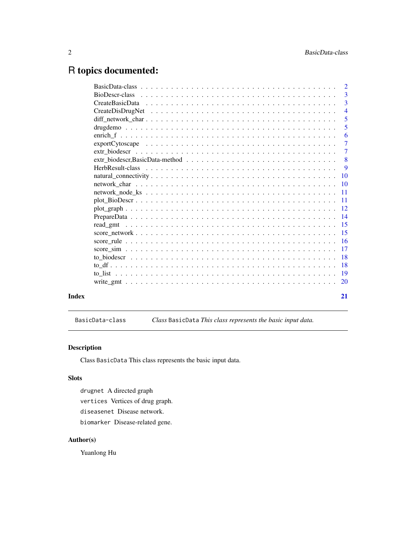# <span id="page-1-0"></span>R topics documented:

|       | $\overline{3}$ |
|-------|----------------|
|       | $\overline{3}$ |
|       | $\overline{4}$ |
|       | 5              |
|       | 5              |
|       | 6              |
|       | $\overline{7}$ |
|       | $\overline{7}$ |
|       | $\overline{8}$ |
|       | - 9            |
|       |                |
|       |                |
|       |                |
|       |                |
|       |                |
|       |                |
|       |                |
|       |                |
|       |                |
|       |                |
|       |                |
|       |                |
|       |                |
|       |                |
|       |                |
| Index | 21             |

BasicData-class *Class* BasicData *This class represents the basic input data.*

# Description

Class BasicData This class represents the basic input data.

# Slots

drugnet A directed graph vertices Vertices of drug graph. diseasenet Disease network. biomarker Disease-related gene.

#### Author(s)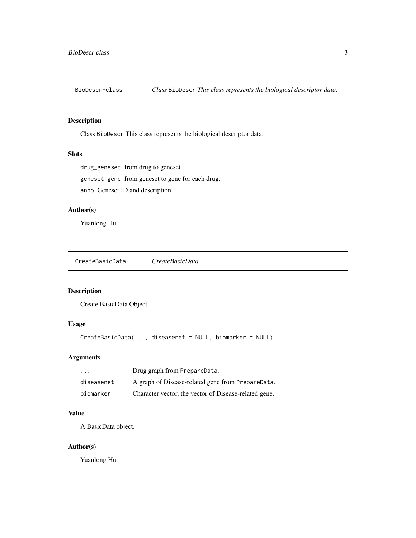<span id="page-2-0"></span>BioDescr-class *Class* BioDescr *This class represents the biological descriptor data.*

#### Description

Class BioDescr This class represents the biological descriptor data.

#### Slots

drug\_geneset from drug to geneset.

geneset\_gene from geneset to gene for each drug.

anno Geneset ID and description.

#### Author(s)

Yuanlong Hu

CreateBasicData *CreateBasicData*

#### Description

Create BasicData Object

## Usage

```
CreateBasicData(..., diseasenet = NULL, biomarker = NULL)
```
#### Arguments

| $\cdot$    | Drug graph from PrepareData.                          |
|------------|-------------------------------------------------------|
| diseasenet | A graph of Disease-related gene from PrepareData.     |
| biomarker  | Character vector, the vector of Disease-related gene. |

#### Value

A BasicData object.

#### Author(s)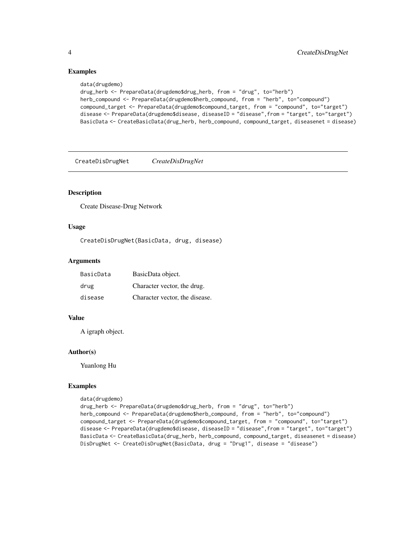#### Examples

```
data(drugdemo)
drug_herb <- PrepareData(drugdemo$drug_herb, from = "drug", to="herb")
herb_compound <- PrepareData(drugdemo$herb_compound, from = "herb", to="compound")
compound_target <- PrepareData(drugdemo$compound_target, from = "compound", to="target")
disease <- PrepareData(drugdemo$disease, diseaseID = "disease", from = "target", to="target")
BasicData <- CreateBasicData(drug_herb, herb_compound, compound_target, diseasenet = disease)
```
CreateDisDrugNet *CreateDisDrugNet*

#### Description

Create Disease-Drug Network

#### Usage

CreateDisDrugNet(BasicData, drug, disease)

#### Arguments

| BasicData | BasicData object.              |
|-----------|--------------------------------|
| drug      | Character vector, the drug.    |
| disease   | Character vector, the disease. |

#### Value

A igraph object.

#### Author(s)

Yuanlong Hu

#### Examples

```
data(drugdemo)
```
drug\_herb <- PrepareData(drugdemo\$drug\_herb, from = "drug", to="herb") herb\_compound <- PrepareData(drugdemo\$herb\_compound, from = "herb", to="compound") compound\_target <- PrepareData(drugdemo\$compound\_target, from = "compound", to="target") disease <- PrepareData(drugdemo\$disease, diseaseID = "disease", from = "target", to="target") BasicData <- CreateBasicData(drug\_herb, herb\_compound, compound\_target, diseasenet = disease) DisDrugNet <- CreateDisDrugNet(BasicData, drug = "Drug1", disease = "disease")

<span id="page-3-0"></span>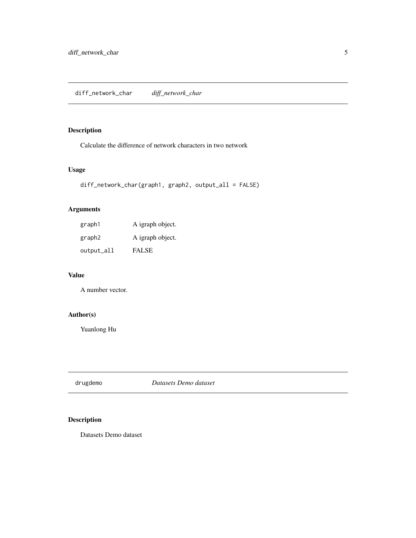# <span id="page-4-0"></span>Description

Calculate the difference of network characters in two network

#### Usage

```
diff_network_char(graph1, graph2, output_all = FALSE)
```
# Arguments

| graph1             | A igraph object. |
|--------------------|------------------|
| graph <sub>2</sub> | A igraph object. |
| output_all         | <b>FALSE</b>     |

#### Value

A number vector.

# Author(s)

Yuanlong Hu

drugdemo *Datasets Demo dataset*

# Description

Datasets Demo dataset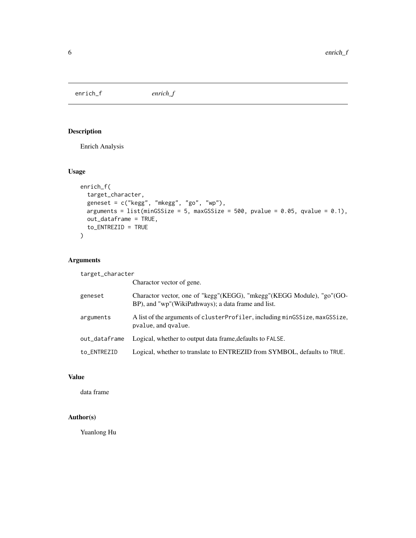<span id="page-5-0"></span>enrich\_f *enrich\_f*

# Description

Enrich Analysis

#### Usage

```
enrich_f(
  target_character,
 geneset = c("kegg", "mkegg", "go", "wp"),
 arguments = list(minGSSize = 5, maxGSSize = 500, pvalue = 0.05, qvalue = 0.1),
 out_dataframe = TRUE,
 to_ENTREZID = TRUE
)
```
#### Arguments

target\_character

|               | Charactor vector of gene.                                                                                                    |
|---------------|------------------------------------------------------------------------------------------------------------------------------|
| geneset       | Charactor vector, one of "kegg"(KEGG), "mkegg"(KEGG Module), "go"(GO-<br>BP), and "wp"(WikiPathways); a data frame and list. |
| arguments     | A list of the arguments of clusterProfiler, including minGSSize, maxGSSize,<br>pvalue, and qvalue.                           |
| out_dataframe | Logical, whether to output data frame, defaults to FALSE.                                                                    |
| to ENTREZID   | Logical, whether to translate to ENTREZID from SYMBOL, defaults to TRUE.                                                     |
|               |                                                                                                                              |

# Value

data frame

## Author(s)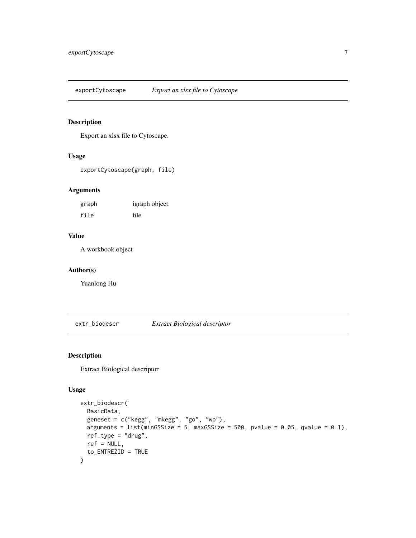<span id="page-6-0"></span>exportCytoscape *Export an xlsx file to Cytoscape*

#### Description

Export an xlsx file to Cytoscape.

#### Usage

exportCytoscape(graph, file)

#### Arguments

| graph | igraph object. |
|-------|----------------|
| file  | file           |

### Value

A workbook object

#### Author(s)

Yuanlong Hu

extr\_biodescr *Extract Biological descriptor*

#### Description

Extract Biological descriptor

#### Usage

```
extr_biodescr(
 BasicData,
 geneset = c("kegg", "mkegg", "go", "wp"),
 arguments = list(minGSSize = 5, maxGSSize = 500, pvalue = 0.05, qvalue = 0.1),
 ref_type = "drug",
 ref = NULL,to_ENTREZID = TRUE
\mathcal{L}
```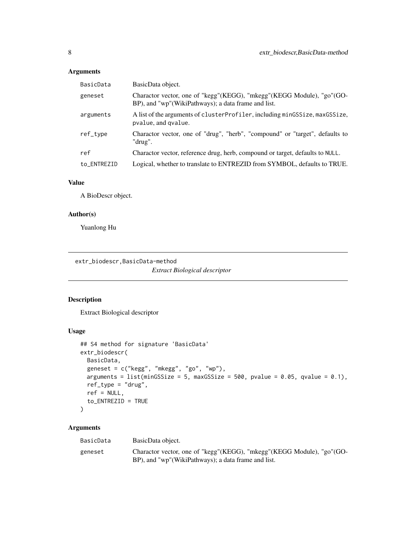#### <span id="page-7-0"></span>Arguments

| BasicData   | BasicData object.                                                                                                            |
|-------------|------------------------------------------------------------------------------------------------------------------------------|
| geneset     | Charactor vector, one of "kegg"(KEGG), "mkegg"(KEGG Module), "go"(GO-<br>BP), and "wp"(WikiPathways); a data frame and list. |
| arguments   | A list of the arguments of cluster Profiler, including minGSSize, maxGSSize,<br>pvalue, and gvalue.                          |
| ref_type    | Charactor vector, one of "drug", "herb", "compound" or "target", defaults to<br>"drug".                                      |
| ref         | Charactor vector, reference drug, herb, compound or target, defaults to NULL.                                                |
| to ENTREZID | Logical, whether to translate to ENTREZID from SYMBOL, defaults to TRUE.                                                     |

#### Value

A BioDescr object.

#### Author(s)

Yuanlong Hu

extr\_biodescr,BasicData-method

*Extract Biological descriptor*

#### Description

Extract Biological descriptor

#### Usage

```
## S4 method for signature 'BasicData'
extr_biodescr(
 BasicData,
 geneset = c("kegg", "mkegg", "go", "wp"),
 arguments = list(minGSSize = 5, maxGSSize = 500, pvalue = 0.05, qvalue = 0.1),
 ref_type = "drug",
  ref = NULL,to_ENTREZID = TRUE
\mathcal{L}
```
#### Arguments

| BasicData | BasicData object.                                                                                                               |
|-----------|---------------------------------------------------------------------------------------------------------------------------------|
| geneset   | Charactor vector, one of "kegg" (KEGG), "mkegg" (KEGG Module), "go" (GO-<br>BP), and "wp"(WikiPathways); a data frame and list. |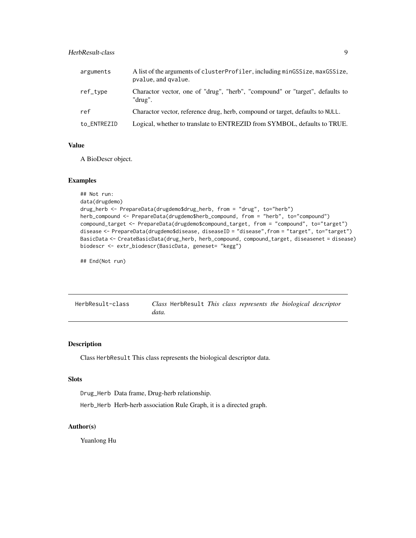#### <span id="page-8-0"></span>HerbResult-class 9

| arguments   | A list of the arguments of clusterProfiler, including minGSSize, maxGSSize,<br>pvalue, and gvalue. |
|-------------|----------------------------------------------------------------------------------------------------|
| ref_type    | Charactor vector, one of "drug", "herb", "compound" or "target", defaults to<br>"drug".            |
| ref         | Charactor vector, reference drug, herb, compound or target, defaults to NULL.                      |
| to_ENTREZID | Logical, whether to translate to ENTREZID from SYMBOL, defaults to TRUE.                           |

#### Value

A BioDescr object.

#### Examples

```
## Not run:
data(drugdemo)
drug_herb <- PrepareData(drugdemo$drug_herb, from = "drug", to="herb")
herb_compound <- PrepareData(drugdemo$herb_compound, from = "herb", to="compound")
compound_target <- PrepareData(drugdemo$compound_target, from = "compound", to="target")
disease <- PrepareData(drugdemo$disease, diseaseID = "disease",from = "target", to="target")
BasicData <- CreateBasicData(drug_herb, herb_compound, compound_target, diseasenet = disease)
biodescr <- extr_biodescr(BasicData, geneset= "kegg")
```
## End(Not run)

| HerbResult-class |       | Class HerbResult This class represents the biological descriptor |  |  |  |
|------------------|-------|------------------------------------------------------------------|--|--|--|
|                  | data. |                                                                  |  |  |  |

#### Description

Class HerbResult This class represents the biological descriptor data.

#### Slots

Drug\_Herb Data frame, Drug-herb relationship.

Herb\_Herb Herb-herb association Rule Graph, it is a directed graph.

#### Author(s)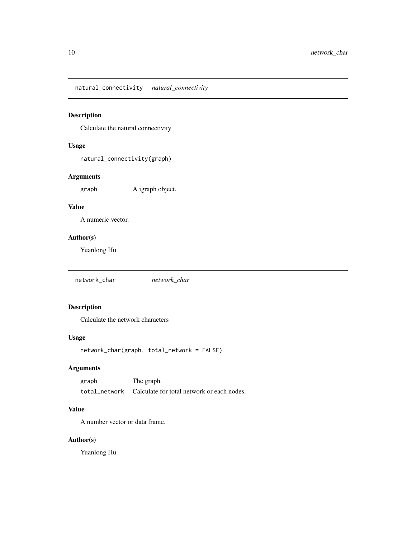<span id="page-9-0"></span>natural\_connectivity *natural\_connectivity*

#### Description

Calculate the natural connectivity

#### Usage

natural\_connectivity(graph)

### Arguments

graph A igraph object.

## Value

A numeric vector.

#### Author(s)

Yuanlong Hu

network\_char *network\_char*

# Description

Calculate the network characters

#### Usage

network\_char(graph, total\_network = FALSE)

#### Arguments

graph The graph. total\_network Calculate for total network or each nodes.

#### Value

A number vector or data frame.

#### Author(s)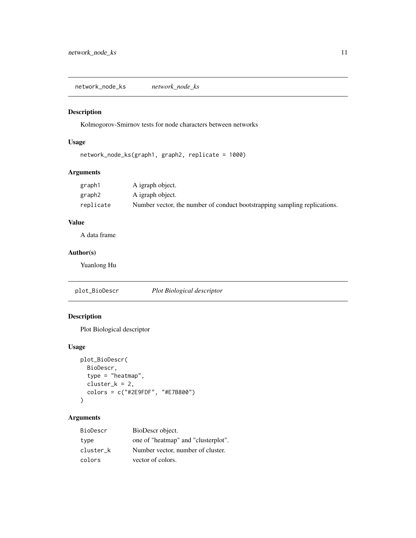<span id="page-10-0"></span>network\_node\_ks *network\_node\_ks*

# Description

Kolmogorov-Smirnov tests for node characters between networks

#### Usage

```
network_node_ks(graph1, graph2, replicate = 1000)
```
#### Arguments

| graph1    | A igraph object.                                                          |
|-----------|---------------------------------------------------------------------------|
| graph2    | A igraph object.                                                          |
| replicate | Number vector, the number of conduct bootstrapping sampling replications. |

#### Value

A data frame

#### Author(s)

Yuanlong Hu

plot\_BioDescr *Plot Biological descriptor*

## Description

Plot Biological descriptor

#### Usage

```
plot_BioDescr(
 BioDescr,
  type = "heatmap",
 cluster_k = 2,
 colors = c("#2E9FDF", "#E7B800")
)
```
#### Arguments

| BioDescr  | BioDescr object.                    |
|-----------|-------------------------------------|
| type      | one of "heatmap" and "clusterplot". |
| cluster k | Number vector, number of cluster.   |
| colors    | vector of colors.                   |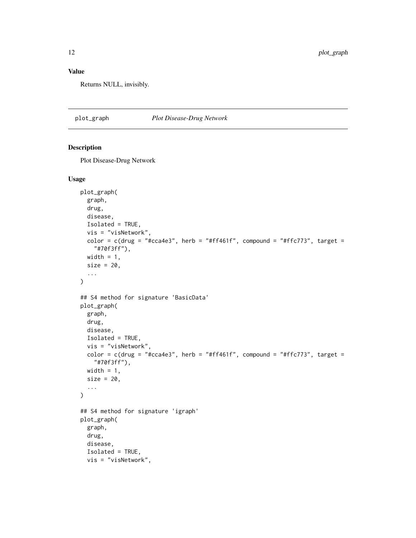## <span id="page-11-0"></span>Value

Returns NULL, invisibly.

plot\_graph *Plot Disease-Drug Network*

#### Description

Plot Disease-Drug Network

#### Usage

```
plot_graph(
  graph,
  drug,
 disease,
 Isolated = TRUE,
 vis = "visNetwork",
 color = c(drug = "#cca4e3", herb = "#ff461f", compound = "#ffc773", target =
    "#70f3ff"),
 width = 1,
  size = 20,...
\lambda## S4 method for signature 'BasicData'
plot_graph(
 graph,
 drug,
 disease,
 Isolated = TRUE,
 vis = "visNetwork",
  color = c(drug = "#cca4e3", herb = "#ff461f", compound = "#ffc773", target =
    "#70f3ff"),
 width = 1,
 size = 20,...
\mathcal{L}## S4 method for signature 'igraph'
plot_graph(
 graph,
 drug,
 disease,
  Isolated = TRUE,
 vis = "visNetwork",
```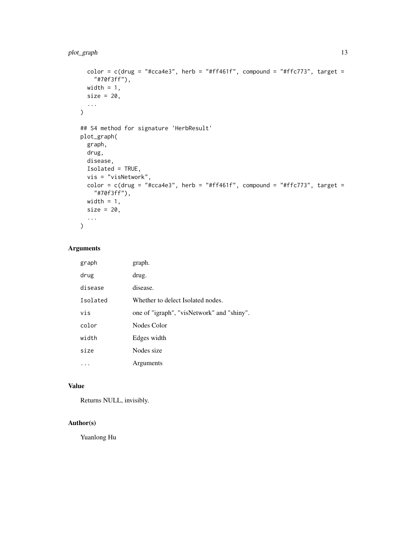#### plot\_graph 13

```
color = c(drug = "#cca4e3", herb = "#ff461f", compound = "#ffc773", target =
    "#70f3ff"),
 width = 1,
 size = 20,...
)
## S4 method for signature 'HerbResult'
plot_graph(
 graph,
 drug,
 disease,
 Isolated = TRUE,
 vis = "visNetwork",
 color = c(drug = "#cca4e3", herb = "#ff461f", compound = "#ffc773", target =
   "#70f3ff"),
 width = 1,
 size = 20,...
\mathcal{L}
```
#### Arguments

| graph    | graph.                                     |
|----------|--------------------------------------------|
| drug     | drug.                                      |
| disease  | disease.                                   |
| Isolated | Whether to delect Isolated nodes.          |
| vis      | one of "igraph", "visNetwork" and "shiny". |
| color    | Nodes Color                                |
| width    | Edges width                                |
| size     | Nodes size                                 |
|          | Arguments                                  |

#### Value

Returns NULL, invisibly.

#### Author(s)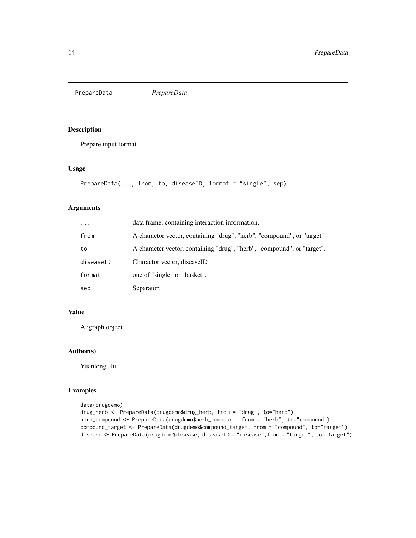<span id="page-13-0"></span>PrepareData *PrepareData*

#### Description

Prepare input format.

#### Usage

```
PrepareData(..., from, to, diseaseID, format = "single", sep)
```
#### Arguments

| $\ddots$ . | data frame, containing interaction information.                         |
|------------|-------------------------------------------------------------------------|
| from       | A charactor vector, containing "drug", "herb", "compound", or "target". |
| to         | A character vector, containing "drug", "herb", "compound", or "target". |
| diseaseID  | Charactor vector, diseaseID                                             |
| format     | one of "single" or "basket".                                            |
| sep        | Separator.                                                              |

#### Value

A igraph object.

#### Author(s)

Yuanlong Hu

#### Examples

```
data(drugdemo)
drug_herb <- PrepareData(drugdemo$drug_herb, from = "drug", to="herb")
herb_compound <- PrepareData(drugdemo$herb_compound, from = "herb", to="compound")
compound_target <- PrepareData(drugdemo$compound_target, from = "compound", to="target")
disease <- PrepareData(drugdemo$disease, diseaseID = "disease", from = "target", to="target")
```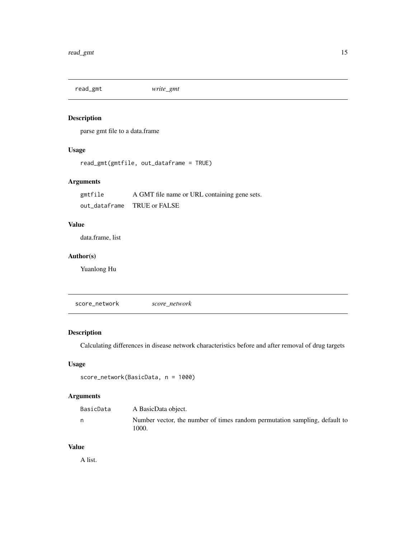<span id="page-14-0"></span>read\_gmt *write\_gmt*

# Description

parse gmt file to a data.frame

# Usage

```
read_gmt(gmtfile, out_dataframe = TRUE)
```
#### Arguments

| gmtfile       | A GMT file name or URL containing gene sets. |
|---------------|----------------------------------------------|
| out_dataframe | TRUE or FALSE                                |

## Value

data.frame, list

#### Author(s)

Yuanlong Hu

score\_network *score\_network*

# Description

Calculating differences in disease network characteristics before and after removal of drug targets

#### Usage

```
score_network(BasicData, n = 1000)
```
# Arguments

| BasicData | A BasicData object.                                                                 |
|-----------|-------------------------------------------------------------------------------------|
| n         | Number vector, the number of times random permutation sampling, default to<br>1000. |

#### Value

A list.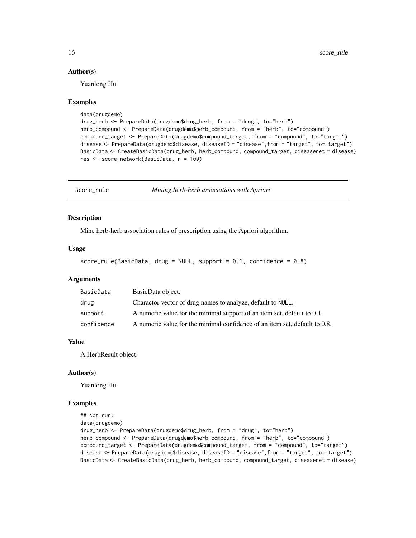#### Author(s)

Yuanlong Hu

#### Examples

```
data(drugdemo)
```

```
drug_herb <- PrepareData(drugdemo$drug_herb, from = "drug", to="herb")
herb_compound <- PrepareData(drugdemo$herb_compound, from = "herb", to="compound")
compound_target <- PrepareData(drugdemo$compound_target, from = "compound", to="target")
disease <- PrepareData(drugdemo$disease, diseaseID = "disease",from = "target", to="target")
BasicData <- CreateBasicData(drug_herb, herb_compound, compound_target, diseasenet = disease)
res <- score_network(BasicData, n = 100)
```
score\_rule *Mining herb-herb associations with Apriori*

#### **Description**

Mine herb-herb association rules of prescription using the Apriori algorithm.

#### Usage

```
score_rule(BasicData, drug = NULL, support = 0.1, confidence = 0.8)
```
#### **Arguments**

| BasicData  | BasicData object.                                                          |
|------------|----------------------------------------------------------------------------|
| drug       | Charactor vector of drug names to analyze, default to NULL.                |
| support    | A numeric value for the minimal support of an item set, default to 0.1.    |
| confidence | A numeric value for the minimal confidence of an item set, default to 0.8. |

#### Value

A HerbResult object.

#### Author(s)

Yuanlong Hu

#### Examples

```
## Not run:
```
data(drugdemo) drug\_herb <- PrepareData(drugdemo\$drug\_herb, from = "drug", to="herb") herb\_compound <- PrepareData(drugdemo\$herb\_compound, from = "herb", to="compound") compound\_target <- PrepareData(drugdemo\$compound\_target, from = "compound", to="target") disease <- PrepareData(drugdemo\$disease, diseaseID = "disease",from = "target", to="target") BasicData <- CreateBasicData(drug\_herb, herb\_compound, compound\_target, diseasenet = disease)

<span id="page-15-0"></span>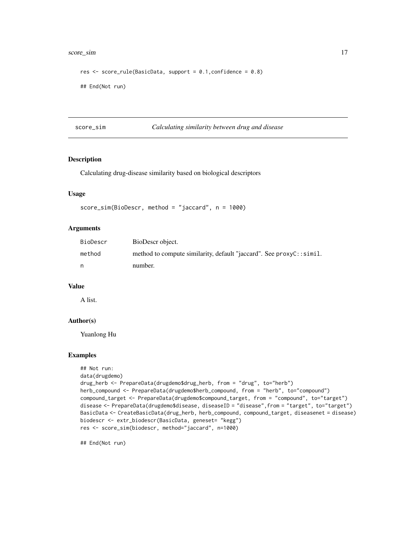#### <span id="page-16-0"></span>score\_sim and 17

```
res <- score_rule(BasicData, support = 0.1,confidence = 0.8)
## End(Not run)
```
score\_sim *Calculating similarity between drug and disease*

#### Description

Calculating drug-disease similarity based on biological descriptors

#### Usage

```
score_sim(BioDescr, method = "jaccard", n = 1000)
```
#### Arguments

| BioDescr | BioDescr object.                                                    |
|----------|---------------------------------------------------------------------|
| method   | method to compute similarity, default "jaccard". See proxyC::simil. |
| n        | number.                                                             |

#### Value

A list.

#### Author(s)

Yuanlong Hu

#### Examples

```
## Not run:
data(drugdemo)
drug_herb <- PrepareData(drugdemo$drug_herb, from = "drug", to="herb")
herb_compound <- PrepareData(drugdemo$herb_compound, from = "herb", to="compound")
compound_target <- PrepareData(drugdemo$compound_target, from = "compound", to="target")
disease <- PrepareData(drugdemo$disease, diseaseID = "disease",from = "target", to="target")
BasicData <- CreateBasicData(drug_herb, herb_compound, compound_target, diseasenet = disease)
biodescr <- extr_biodescr(BasicData, geneset= "kegg")
res <- score_sim(biodescr, method="jaccard", n=1000)
```
## End(Not run)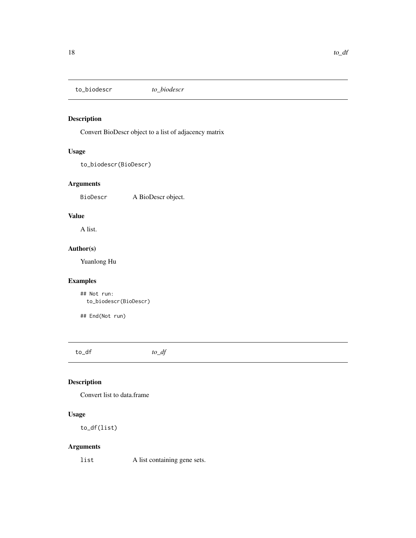<span id="page-17-0"></span>to\_biodescr *to\_biodescr*

#### Description

Convert BioDescr object to a list of adjacency matrix

#### Usage

to\_biodescr(BioDescr)

#### Arguments

BioDescr A BioDescr object.

## Value

A list.

# Author(s)

Yuanlong Hu

#### Examples

## Not run: to\_biodescr(BioDescr)

## End(Not run)

to\_df *to\_df*

# Description

Convert list to data.frame

# Usage

to\_df(list)

#### Arguments

list A list containing gene sets.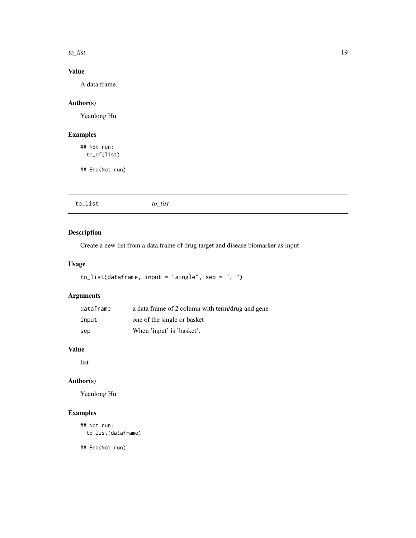<span id="page-18-0"></span>to\_list 19

# Value

A data frame.

# Author(s)

Yuanlong Hu

# Examples

## Not run: to\_df(list)

## End(Not run)

| to_list<br>to_list |
|--------------------|
|--------------------|

# Description

Create a new list from a data.frame of drug target and disease biomarker as input

#### Usage

```
to_list(dataframe, input = "single", sep = ", ")
```
# Arguments

| dataframe | a data frame of 2 column with term/drug and gene |
|-----------|--------------------------------------------------|
| input     | one of the single or basket                      |
| sep       | When 'input' is 'basket'.                        |

# Value

list

# Author(s)

Yuanlong Hu

#### Examples

## Not run: to\_list(dataframe)

## End(Not run)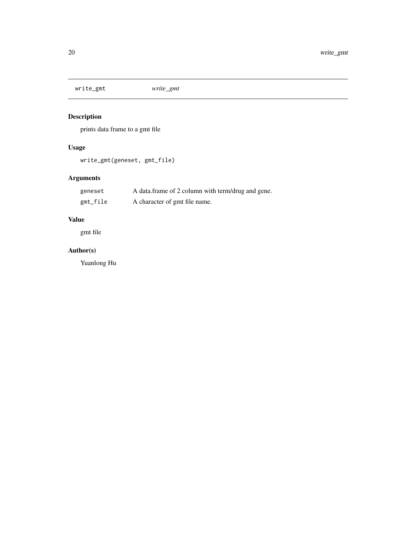<span id="page-19-0"></span>write\_gmt *write\_gmt*

# Description

prints data frame to a gmt file

# Usage

```
write_gmt(geneset, gmt_file)
```
# Arguments

| geneset  | A data frame of 2 column with term/drug and gene. |
|----------|---------------------------------------------------|
| gmt_file | A character of gmt file name.                     |

# Value

gmt file

# Author(s)